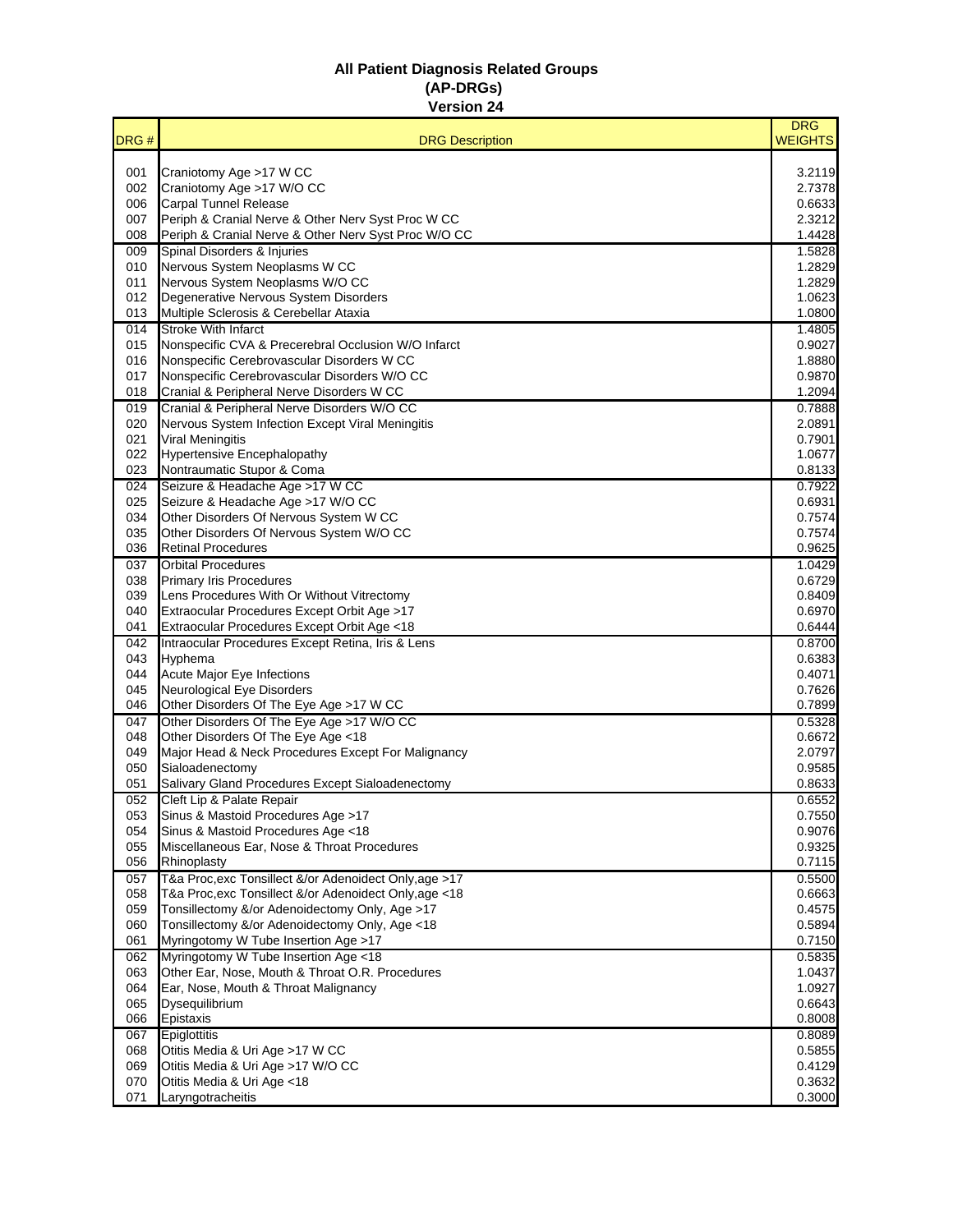## **All Patient Diagnosis Related Groups (AP-DRGs) Version 24**

|            |                                                                                                          | <b>DRG</b>       |
|------------|----------------------------------------------------------------------------------------------------------|------------------|
| DRG#       | <b>DRG Description</b>                                                                                   | <b>WEIGHTS</b>   |
| 001        | Craniotomy Age >17 W CC                                                                                  | 3.2119           |
| 002        | Craniotomy Age >17 W/O CC                                                                                | 2.7378           |
| 006        | <b>Carpal Tunnel Release</b>                                                                             | 0.6633           |
| 007        | Periph & Cranial Nerve & Other Nerv Syst Proc W CC                                                       | 2.3212           |
| 008        | Periph & Cranial Nerve & Other Nerv Syst Proc W/O CC                                                     | 1.4428           |
| 009        | Spinal Disorders & Injuries                                                                              | 1.5828           |
| 010        | Nervous System Neoplasms W CC                                                                            | 1.2829           |
| 011<br>012 | Nervous System Neoplasms W/O CC<br>Degenerative Nervous System Disorders                                 | 1.2829<br>1.0623 |
| 013        | Multiple Sclerosis & Cerebellar Ataxia                                                                   | 1.0800           |
| 014        | <b>Stroke With Infarct</b>                                                                               | 1.4805           |
| 015        | Nonspecific CVA & Precerebral Occlusion W/O Infarct                                                      | 0.9027           |
| 016        | Nonspecific Cerebrovascular Disorders W CC                                                               | 1.8880           |
| 017        | Nonspecific Cerebrovascular Disorders W/O CC                                                             | 0.9870           |
| 018        | Cranial & Peripheral Nerve Disorders W CC                                                                | 1.2094           |
| 019        | Cranial & Peripheral Nerve Disorders W/O CC                                                              | 0.7888           |
| 020<br>021 | Nervous System Infection Except Viral Meningitis<br><b>Viral Meningitis</b>                              | 2.0891<br>0.7901 |
| 022        | <b>Hypertensive Encephalopathy</b>                                                                       | 1.0677           |
| 023        | Nontraumatic Stupor & Coma                                                                               | 0.8133           |
| 024        | Seizure & Headache Age >17 W CC                                                                          | 0.7922           |
| 025        | Seizure & Headache Age >17 W/O CC                                                                        | 0.6931           |
| 034        | Other Disorders Of Nervous System W CC                                                                   | 0.7574           |
| 035        | Other Disorders Of Nervous System W/O CC                                                                 | 0.7574           |
| 036        | <b>Retinal Procedures</b>                                                                                | 0.9625           |
| 037        | <b>Orbital Procedures</b>                                                                                | 1.0429           |
| 038        | <b>Primary Iris Procedures</b>                                                                           | 0.6729           |
| 039<br>040 | Lens Procedures With Or Without Vitrectomy<br>Extraocular Procedures Except Orbit Age >17                | 0.8409<br>0.6970 |
| 041        | Extraocular Procedures Except Orbit Age <18                                                              | 0.6444           |
| 042        | Intraocular Procedures Except Retina, Iris & Lens                                                        | 0.8700           |
| 043        | Hyphema                                                                                                  | 0.6383           |
| 044        | <b>Acute Major Eye Infections</b>                                                                        | 0.4071           |
| 045        | Neurological Eye Disorders                                                                               | 0.7626           |
| 046        | Other Disorders Of The Eye Age >17 W CC                                                                  | 0.7899           |
| 047        | Other Disorders Of The Eye Age >17 W/O CC                                                                | 0.5328           |
| 048<br>049 | Other Disorders Of The Eye Age <18<br>Major Head & Neck Procedures Except For Malignancy                 | 0.6672<br>2.0797 |
| 050        | Sialoadenectomy                                                                                          | 0.9585           |
| 051        | Salivary Gland Procedures Except Sialoadenectomy                                                         | 0.8633           |
| 052        | Cleft Lip & Palate Repair                                                                                | 0.6552           |
| 053        | Sinus & Mastoid Procedures Age >17                                                                       | 0.7550           |
| 054        | Sinus & Mastoid Procedures Age <18                                                                       | 0.9076           |
| 055        | Miscellaneous Ear, Nose & Throat Procedures                                                              | 0.9325           |
| 056        | Rhinoplasty                                                                                              | 0.7115           |
| 057        | T&a Proc, exc Tonsillect &/or Adenoidect Only, age >17                                                   | 0.5500           |
| 058<br>059 | T&a Proc, exc Tonsillect &/or Adenoidect Only, age <18<br>Tonsillectomy &/or Adenoidectomy Only, Age >17 | 0.6663<br>0.4575 |
| 060        | Tonsillectomy &/or Adenoidectomy Only, Age <18                                                           | 0.5894           |
| 061        | Myringotomy W Tube Insertion Age >17                                                                     | 0.7150           |
| 062        | Myringotomy W Tube Insertion Age <18                                                                     | 0.5835           |
| 063        | Other Ear, Nose, Mouth & Throat O.R. Procedures                                                          | 1.0437           |
| 064        | Ear, Nose, Mouth & Throat Malignancy                                                                     | 1.0927           |
| 065        | Dysequilibrium                                                                                           | 0.6643           |
| 066        | Epistaxis                                                                                                | 0.8008           |
| 067        | Epiglottitis                                                                                             | 0.8089           |
| 068        | Otitis Media & Uri Age >17 W CC                                                                          | 0.5855           |
| 069<br>070 | Otitis Media & Uri Age >17 W/O CC<br>Otitis Media & Uri Age <18                                          | 0.4129<br>0.3632 |
| 071        | Laryngotracheitis                                                                                        | 0.3000           |
|            |                                                                                                          |                  |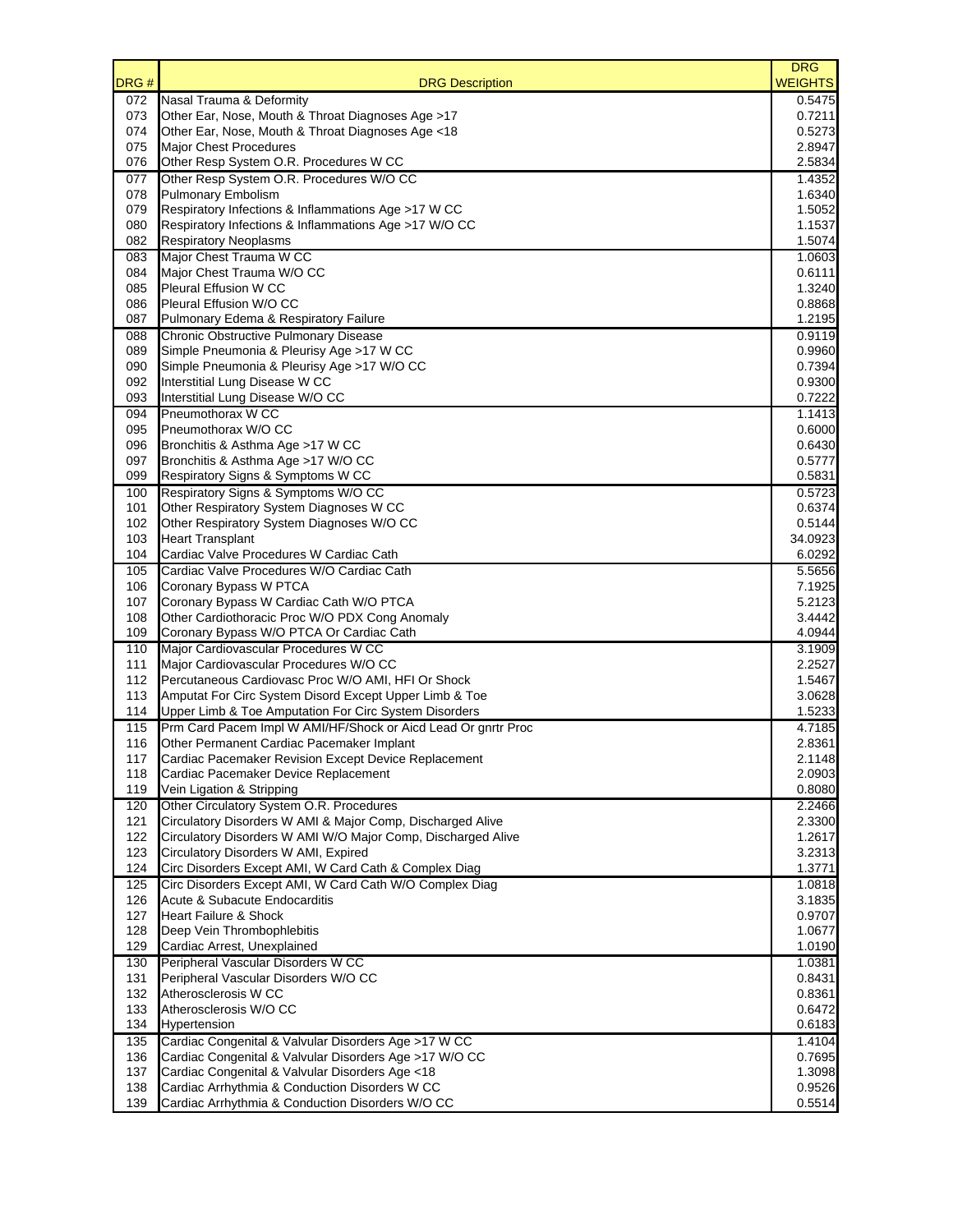| DRG #      | <b>DRG Description</b>                                                                                 | <b>DRG</b><br><b>WEIGHTS</b> |
|------------|--------------------------------------------------------------------------------------------------------|------------------------------|
| 072        | Nasal Trauma & Deformity                                                                               | 0.5475                       |
| 073        | Other Ear, Nose, Mouth & Throat Diagnoses Age >17                                                      | 0.7211                       |
| 074        | Other Ear, Nose, Mouth & Throat Diagnoses Age <18                                                      | 0.5273                       |
| 075        | <b>Major Chest Procedures</b>                                                                          | 2.8947                       |
| 076        | Other Resp System O.R. Procedures W CC                                                                 | 2.5834                       |
| 077<br>078 | Other Resp System O.R. Procedures W/O CC<br><b>Pulmonary Embolism</b>                                  | 1.4352<br>1.6340             |
| 079        | Respiratory Infections & Inflammations Age >17 W CC                                                    | 1.5052                       |
| 080        | Respiratory Infections & Inflammations Age >17 W/O CC                                                  | 1.1537                       |
| 082        | <b>Respiratory Neoplasms</b>                                                                           | 1.5074                       |
| 083        | Major Chest Trauma W CC                                                                                | 1.0603                       |
| 084        | Major Chest Trauma W/O CC                                                                              | 0.6111                       |
| 085        | Pleural Effusion W CC                                                                                  | 1.3240                       |
| 086        | Pleural Effusion W/O CC                                                                                | 0.8868                       |
| 087        | Pulmonary Edema & Respiratory Failure                                                                  | 1.2195                       |
| 088        | Chronic Obstructive Pulmonary Disease                                                                  | 0.9119                       |
| 089        | Simple Pneumonia & Pleurisy Age >17 W CC                                                               | 0.9960                       |
| 090        | Simple Pneumonia & Pleurisy Age >17 W/O CC                                                             | 0.7394                       |
| 092<br>093 | Interstitial Lung Disease W CC                                                                         | 0.9300                       |
| 094        | Interstitial Lung Disease W/O CC<br>Pneumothorax W CC                                                  | 0.7222<br>1.1413             |
| 095        | Pneumothorax W/O CC                                                                                    | 0.6000                       |
| 096        | Bronchitis & Asthma Age >17 W CC                                                                       | 0.6430                       |
| 097        | Bronchitis & Asthma Age >17 W/O CC                                                                     | 0.5777                       |
| 099        | Respiratory Signs & Symptoms W CC                                                                      | 0.5831                       |
| 100        | Respiratory Signs & Symptoms W/O CC                                                                    | 0.5723                       |
| 101        | Other Respiratory System Diagnoses W CC                                                                | 0.6374                       |
| 102        | Other Respiratory System Diagnoses W/O CC                                                              | 0.5144                       |
| 103        | <b>Heart Transplant</b>                                                                                | 34.0923                      |
| 104        | Cardiac Valve Procedures W Cardiac Cath                                                                | 6.0292                       |
| 105        | Cardiac Valve Procedures W/O Cardiac Cath                                                              | 5.5656                       |
| 106        | Coronary Bypass W PTCA                                                                                 | 7.1925<br>5.2123             |
| 107<br>108 | Coronary Bypass W Cardiac Cath W/O PTCA<br>Other Cardiothoracic Proc W/O PDX Cong Anomaly              | 3.4442                       |
| 109        | Coronary Bypass W/O PTCA Or Cardiac Cath                                                               | 4.0944                       |
| 110        | Major Cardiovascular Procedures W CC                                                                   | 3.1909                       |
| 111        | Major Cardiovascular Procedures W/O CC                                                                 | 2.2527                       |
| 112        | Percutaneous Cardiovasc Proc W/O AMI, HFI Or Shock                                                     | 1.5467                       |
| 113        | Amputat For Circ System Disord Except Upper Limb & Toe                                                 | 3.0628                       |
| 114        | Upper Limb & Toe Amputation For Circ System Disorders                                                  | 1.5233                       |
| 115        | Prm Card Pacem Impl W AMI/HF/Shock or Aicd Lead Or gnrtr Proc                                          | 4.7185                       |
| 116        | Other Permanent Cardiac Pacemaker Implant                                                              | 2.8361                       |
| 117        | Cardiac Pacemaker Revision Except Device Replacement                                                   | 2.1148                       |
| 118        | Cardiac Pacemaker Device Replacement                                                                   | 2.0903                       |
| 119        | Vein Ligation & Stripping                                                                              | 0.8080                       |
| 120<br>121 | Other Circulatory System O.R. Procedures<br>Circulatory Disorders W AMI & Major Comp, Discharged Alive | 2.2466<br>2.3300             |
| 122        | Circulatory Disorders W AMI W/O Major Comp, Discharged Alive                                           | 1.2617                       |
| 123        | Circulatory Disorders W AMI, Expired                                                                   | 3.2313                       |
| 124        | Circ Disorders Except AMI, W Card Cath & Complex Diag                                                  | 1.3771                       |
| 125        | Circ Disorders Except AMI, W Card Cath W/O Complex Diag                                                | 1.0818                       |
| 126        | Acute & Subacute Endocarditis                                                                          | 3.1835                       |
| 127        | <b>Heart Failure &amp; Shock</b>                                                                       | 0.9707                       |
| 128        | Deep Vein Thrombophlebitis                                                                             | 1.0677                       |
| 129        | Cardiac Arrest, Unexplained                                                                            | 1.0190                       |
| 130        | Peripheral Vascular Disorders W CC                                                                     | 1.0381                       |
| 131        | Peripheral Vascular Disorders W/O CC                                                                   | 0.8431                       |
| 132<br>133 | Atherosclerosis W CC<br>Atherosclerosis W/O CC                                                         | 0.8361<br>0.6472             |
| 134        | Hypertension                                                                                           | 0.6183                       |
| 135        | Cardiac Congenital & Valvular Disorders Age >17 W CC                                                   | 1.4104                       |
| 136        | Cardiac Congenital & Valvular Disorders Age >17 W/O CC                                                 | 0.7695                       |
| 137        | Cardiac Congenital & Valvular Disorders Age <18                                                        | 1.3098                       |
| 138        | Cardiac Arrhythmia & Conduction Disorders W CC                                                         | 0.9526                       |
| 139        | Cardiac Arrhythmia & Conduction Disorders W/O CC                                                       | 0.5514                       |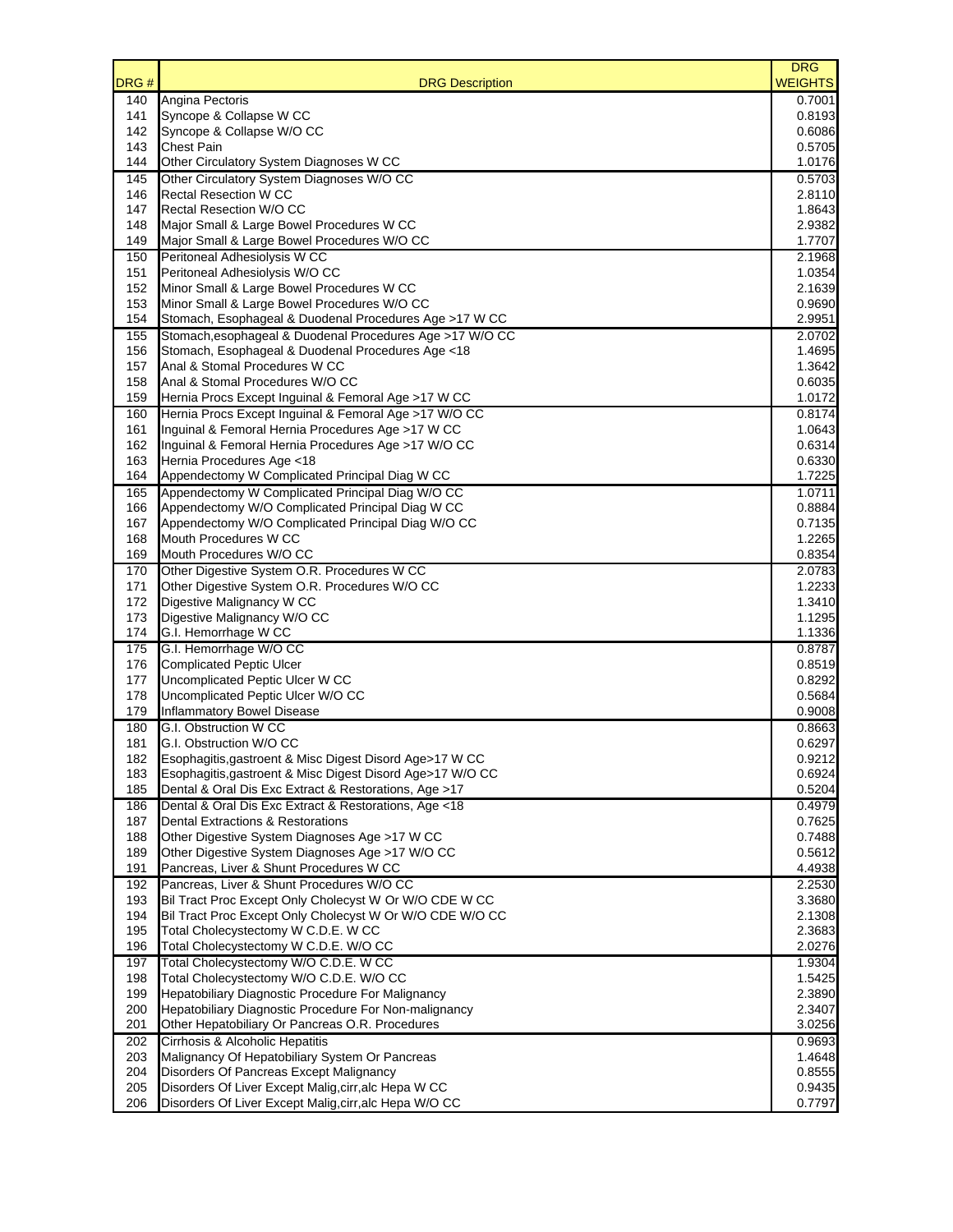| DRG#       | <b>DRG Description</b>                                                                     | <b>DRG</b><br><b>WEIGHTS</b> |
|------------|--------------------------------------------------------------------------------------------|------------------------------|
| 140        | Angina Pectoris                                                                            | 0.7001                       |
| 141        | Syncope & Collapse W CC                                                                    | 0.8193                       |
| 142        | Syncope & Collapse W/O CC<br><b>Chest Pain</b>                                             | 0.6086<br>0.5705             |
| 143<br>144 | Other Circulatory System Diagnoses W CC                                                    | 1.0176                       |
| 145        | Other Circulatory System Diagnoses W/O CC                                                  | 0.5703                       |
| 146        | <b>Rectal Resection W CC</b>                                                               | 2.8110                       |
| 147        | Rectal Resection W/O CC                                                                    | 1.8643                       |
| 148        | Major Small & Large Bowel Procedures W CC                                                  | 2.9382                       |
| 149        | Major Small & Large Bowel Procedures W/O CC                                                | 1.7707                       |
| 150        | Peritoneal Adhesiolysis W CC                                                               | 2.1968                       |
| 151        | Peritoneal Adhesiolysis W/O CC                                                             | 1.0354                       |
| 152<br>153 | Minor Small & Large Bowel Procedures W CC<br>Minor Small & Large Bowel Procedures W/O CC   | 2.1639<br>0.9690             |
| 154        | Stomach, Esophageal & Duodenal Procedures Age >17 W CC                                     | 2.9951                       |
| 155        | Stomach, esophageal & Duodenal Procedures Age >17 W/O CC                                   | 2.0702                       |
| 156        | Stomach, Esophageal & Duodenal Procedures Age <18                                          | 1.4695                       |
| 157        | Anal & Stomal Procedures W CC                                                              | 1.3642                       |
| 158        | Anal & Stomal Procedures W/O CC                                                            | 0.6035                       |
| 159        | Hernia Procs Except Inguinal & Femoral Age >17 W CC                                        | 1.0172                       |
| 160        | Hernia Procs Except Inguinal & Femoral Age >17 W/O CC                                      | 0.8174                       |
| 161        | Inguinal & Femoral Hernia Procedures Age >17 W CC                                          | 1.0643                       |
| 162<br>163 | Inguinal & Femoral Hernia Procedures Age >17 W/O CC<br>Hernia Procedures Age <18           | 0.6314<br>0.6330             |
| 164        | Appendectomy W Complicated Principal Diag W CC                                             | 1.7225                       |
| 165        | Appendectomy W Complicated Principal Diag W/O CC                                           | 1.0711                       |
| 166        | Appendectomy W/O Complicated Principal Diag W CC                                           | 0.8884                       |
| 167        | Appendectomy W/O Complicated Principal Diag W/O CC                                         | 0.7135                       |
| 168        | Mouth Procedures W CC                                                                      | 1.2265                       |
| 169        | Mouth Procedures W/O CC                                                                    | 0.8354                       |
| 170        | Other Digestive System O.R. Procedures W CC                                                | 2.0783                       |
| 171        | Other Digestive System O.R. Procedures W/O CC                                              | 1.2233                       |
| 172        | Digestive Malignancy W CC                                                                  | 1.3410                       |
| 173        | Digestive Malignancy W/O CC                                                                | 1.1295                       |
| 174<br>175 | G.I. Hemorrhage W CC<br>G.I. Hemorrhage W/O CC                                             | 1.1336<br>0.8787             |
| 176        | <b>Complicated Peptic Ulcer</b>                                                            | 0.8519                       |
| 177        | Uncomplicated Peptic Ulcer W CC                                                            | 0.8292                       |
| 178        | Uncomplicated Peptic Ulcer W/O CC                                                          | 0.5684                       |
| 179        | Inflammatory Bowel Disease                                                                 | 0.9008                       |
| 180        | G.I. Obstruction W CC                                                                      | 0.8663                       |
| 181        | G.I. Obstruction W/O CC                                                                    | 0.6297                       |
| 182        | Esophagitis, gastroent & Misc Digest Disord Age>17 W CC                                    | 0.9212                       |
| 183        | Esophagitis, gastroent & Misc Digest Disord Age>17 W/O CC                                  | 0.6924                       |
| 185        | Dental & Oral Dis Exc Extract & Restorations, Age >17                                      | 0.5204<br>0.4979             |
| 186<br>187 | Dental & Oral Dis Exc Extract & Restorations, Age <18<br>Dental Extractions & Restorations | 0.7625                       |
| 188        | Other Digestive System Diagnoses Age >17 W CC                                              | 0.7488                       |
| 189        | Other Digestive System Diagnoses Age >17 W/O CC                                            | 0.5612                       |
| 191        | Pancreas, Liver & Shunt Procedures W CC                                                    | 4.4938                       |
| 192        | Pancreas, Liver & Shunt Procedures W/O CC                                                  | 2.2530                       |
| 193        | Bil Tract Proc Except Only Cholecyst W Or W/O CDE W CC                                     | 3.3680                       |
| 194        | Bil Tract Proc Except Only Cholecyst W Or W/O CDE W/O CC                                   | 2.1308                       |
| 195        | Total Cholecystectomy W C.D.E. W CC                                                        | 2.3683                       |
| 196        | Total Cholecystectomy W C.D.E. W/O CC                                                      | 2.0276                       |
| 197<br>198 | Total Cholecystectomy W/O C.D.E. W CC<br>Total Cholecystectomy W/O C.D.E. W/O CC           | 1.9304<br>1.5425             |
| 199        | Hepatobiliary Diagnostic Procedure For Malignancy                                          | 2.3890                       |
| 200        | Hepatobiliary Diagnostic Procedure For Non-malignancy                                      | 2.3407                       |
| 201        | Other Hepatobiliary Or Pancreas O.R. Procedures                                            | 3.0256                       |
| 202        | Cirrhosis & Alcoholic Hepatitis                                                            | 0.9693                       |
| 203        | Malignancy Of Hepatobiliary System Or Pancreas                                             | 1.4648                       |
| 204        | Disorders Of Pancreas Except Malignancy                                                    | 0.8555                       |
| 205        | Disorders Of Liver Except Malig, cirr, alc Hepa W CC                                       | 0.9435                       |
| 206        | Disorders Of Liver Except Malig, cirr, alc Hepa W/O CC                                     | 0.7797                       |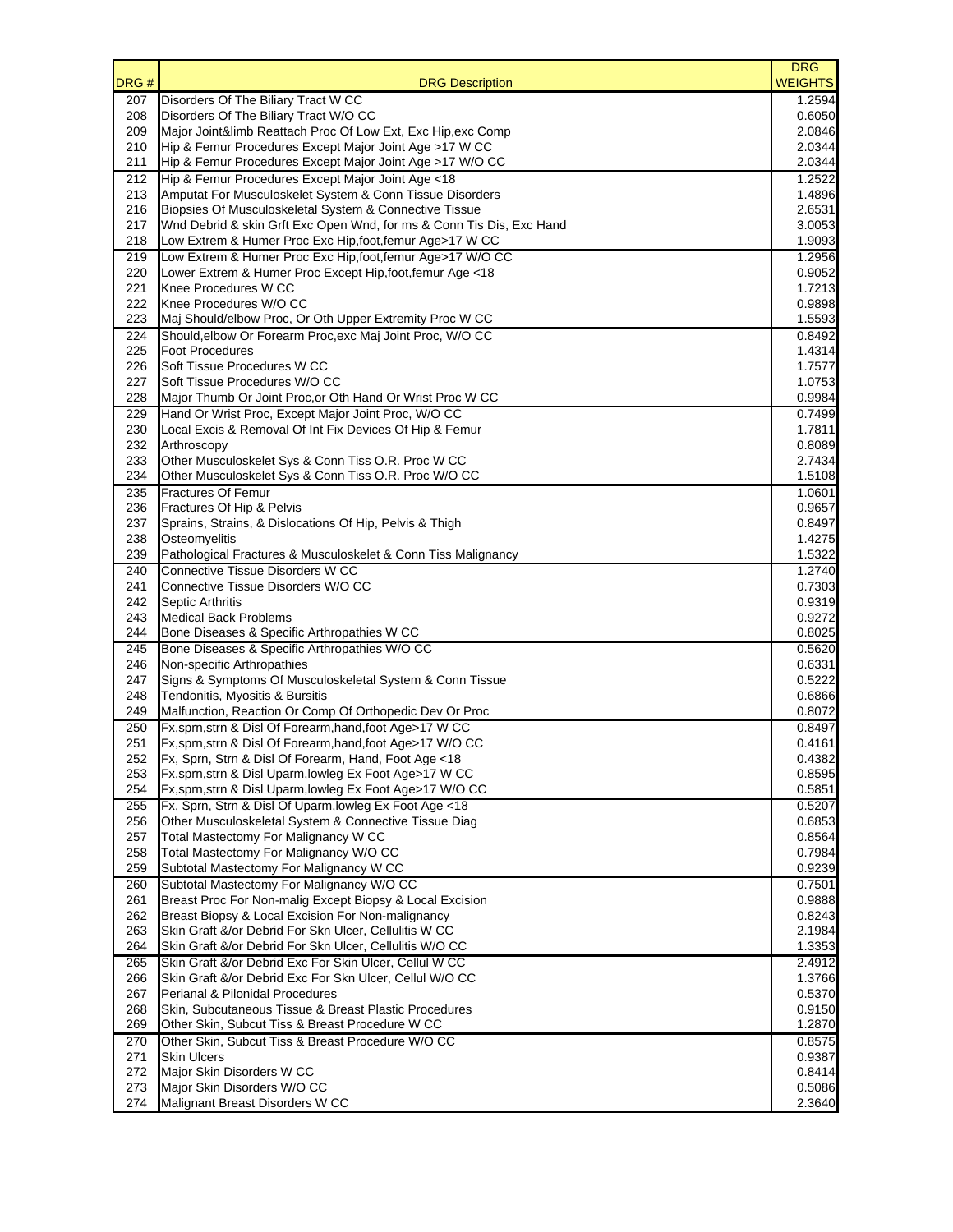| DRG#       | <b>DRG Description</b>                                                                                            | <b>DRG</b><br><b>WEIGHTS</b> |
|------------|-------------------------------------------------------------------------------------------------------------------|------------------------------|
| 207        | Disorders Of The Biliary Tract W CC                                                                               | 1.2594                       |
| 208        | Disorders Of The Biliary Tract W/O CC                                                                             | 0.6050                       |
| 209        | Major Joint&limb Reattach Proc Of Low Ext, Exc Hip, exc Comp                                                      | 2.0846                       |
| 210        | Hip & Femur Procedures Except Major Joint Age >17 W CC                                                            | 2.0344                       |
| 211        | Hip & Femur Procedures Except Major Joint Age >17 W/O CC                                                          | 2.0344                       |
| 212<br>213 | Hip & Femur Procedures Except Major Joint Age <18<br>Amputat For Musculoskelet System & Conn Tissue Disorders     | 1.2522<br>1.4896             |
| 216        | Biopsies Of Musculoskeletal System & Connective Tissue                                                            | 2.6531                       |
| 217        | Wnd Debrid & skin Grft Exc Open Wnd, for ms & Conn Tis Dis, Exc Hand                                              | 3.0053                       |
| 218        | Low Extrem & Humer Proc Exc Hip, foot, femur Age>17 W CC                                                          | 1.9093                       |
| 219        | Low Extrem & Humer Proc Exc Hip, foot, femur Age>17 W/O CC                                                        | 1.2956                       |
| 220        | Lower Extrem & Humer Proc Except Hip, foot, femur Age <18                                                         | 0.9052                       |
| 221<br>222 | Knee Procedures W CC<br>Knee Procedures W/O CC                                                                    | 1.7213<br>0.9898             |
| 223        | Maj Should/elbow Proc, Or Oth Upper Extremity Proc W CC                                                           | 1.5593                       |
| 224        | Should, elbow Or Forearm Proc, exc Maj Joint Proc, W/O CC                                                         | 0.8492                       |
| 225        | <b>Foot Procedures</b>                                                                                            | 1.4314                       |
| 226        | Soft Tissue Procedures W CC                                                                                       | 1.7577                       |
| 227        | Soft Tissue Procedures W/O CC                                                                                     | 1.0753                       |
| 228        | Major Thumb Or Joint Proc, or Oth Hand Or Wrist Proc W CC                                                         | 0.9984                       |
| 229        | Hand Or Wrist Proc, Except Major Joint Proc, W/O CC                                                               | 0.7499                       |
| 230<br>232 | Local Excis & Removal Of Int Fix Devices Of Hip & Femur<br>Arthroscopy                                            | 1.7811<br>0.8089             |
| 233        | Other Musculoskelet Sys & Conn Tiss O.R. Proc W CC                                                                | 2.7434                       |
| 234        | Other Musculoskelet Sys & Conn Tiss O.R. Proc W/O CC                                                              | 1.5108                       |
| 235        | <b>Fractures Of Femur</b>                                                                                         | 1.0601                       |
| 236        | Fractures Of Hip & Pelvis                                                                                         | 0.9657                       |
| 237        | Sprains, Strains, & Dislocations Of Hip, Pelvis & Thigh                                                           | 0.8497                       |
| 238        | Osteomyelitis                                                                                                     | 1.4275                       |
| 239        | Pathological Fractures & Musculoskelet & Conn Tiss Malignancy                                                     | 1.5322                       |
| 240<br>241 | Connective Tissue Disorders W CC<br>Connective Tissue Disorders W/O CC                                            | 1.2740<br>0.7303             |
| 242        | Septic Arthritis                                                                                                  | 0.9319                       |
| 243        | <b>Medical Back Problems</b>                                                                                      | 0.9272                       |
| 244        | Bone Diseases & Specific Arthropathies W CC                                                                       | 0.8025                       |
| 245        | Bone Diseases & Specific Arthropathies W/O CC                                                                     | 0.5620                       |
| 246        | Non-specific Arthropathies                                                                                        | 0.6331                       |
| 247        | Signs & Symptoms Of Musculoskeletal System & Conn Tissue                                                          | 0.5222<br>0.6866             |
| 248<br>249 | Tendonitis, Myositis & Bursitis<br>Malfunction, Reaction Or Comp Of Orthopedic Dev Or Proc                        | 0.8072                       |
| 250        | Fx, sprn, strn & Disl Of Forearm, hand, foot Age>17 W CC                                                          | 0.8497                       |
| 251        | Fx, sprn, strn & Disl Of Forearm, hand, foot Age>17 W/O CC                                                        | 0.4161                       |
| 252        | Fx, Sprn, Strn & Disl Of Forearm, Hand, Foot Age <18                                                              | 0.4382                       |
| 253        | Fx, sprn, strn & Disl Uparm, lowleg Ex Foot Age>17 W CC                                                           | 0.8595                       |
| 254        | Fx, sprn, strn & Disl Uparm, lowleg Ex Foot Age>17 W/O CC                                                         | 0.5851                       |
| 255        | Fx, Sprn, Strn & Disl Of Uparm, lowleg Ex Foot Age <18                                                            | 0.5207                       |
| 256<br>257 | Other Musculoskeletal System & Connective Tissue Diag<br>Total Mastectomy For Malignancy W CC                     | 0.6853<br>0.8564             |
| 258        | Total Mastectomy For Malignancy W/O CC                                                                            | 0.7984                       |
| 259        | Subtotal Mastectomy For Malignancy W CC                                                                           | 0.9239                       |
| 260        | Subtotal Mastectomy For Malignancy W/O CC                                                                         | 0.7501                       |
| 261        | Breast Proc For Non-malig Except Biopsy & Local Excision                                                          | 0.9888                       |
| 262        | Breast Biopsy & Local Excision For Non-malignancy                                                                 | 0.8243                       |
| 263        | Skin Graft &/or Debrid For Skn Ulcer, Cellulitis W CC                                                             | 2.1984                       |
| 264        | Skin Graft &/or Debrid For Skn Ulcer, Cellulitis W/O CC                                                           | 1.3353                       |
| 265<br>266 | Skin Graft &/or Debrid Exc For Skin Ulcer, Cellul W CC<br>Skin Graft &/or Debrid Exc For Skn Ulcer, Cellul W/O CC | 2.4912<br>1.3766             |
| 267        | Perianal & Pilonidal Procedures                                                                                   | 0.5370                       |
| 268        | Skin, Subcutaneous Tissue & Breast Plastic Procedures                                                             | 0.9150                       |
| 269        | Other Skin, Subcut Tiss & Breast Procedure W CC                                                                   | 1.2870                       |
| 270        | Other Skin, Subcut Tiss & Breast Procedure W/O CC                                                                 | 0.8575                       |
| 271        | <b>Skin Ulcers</b>                                                                                                | 0.9387                       |
| 272        | Major Skin Disorders W CC                                                                                         | 0.8414                       |
| 273        | Major Skin Disorders W/O CC                                                                                       | 0.5086                       |
| 274        | Malignant Breast Disorders W CC                                                                                   | 2.3640                       |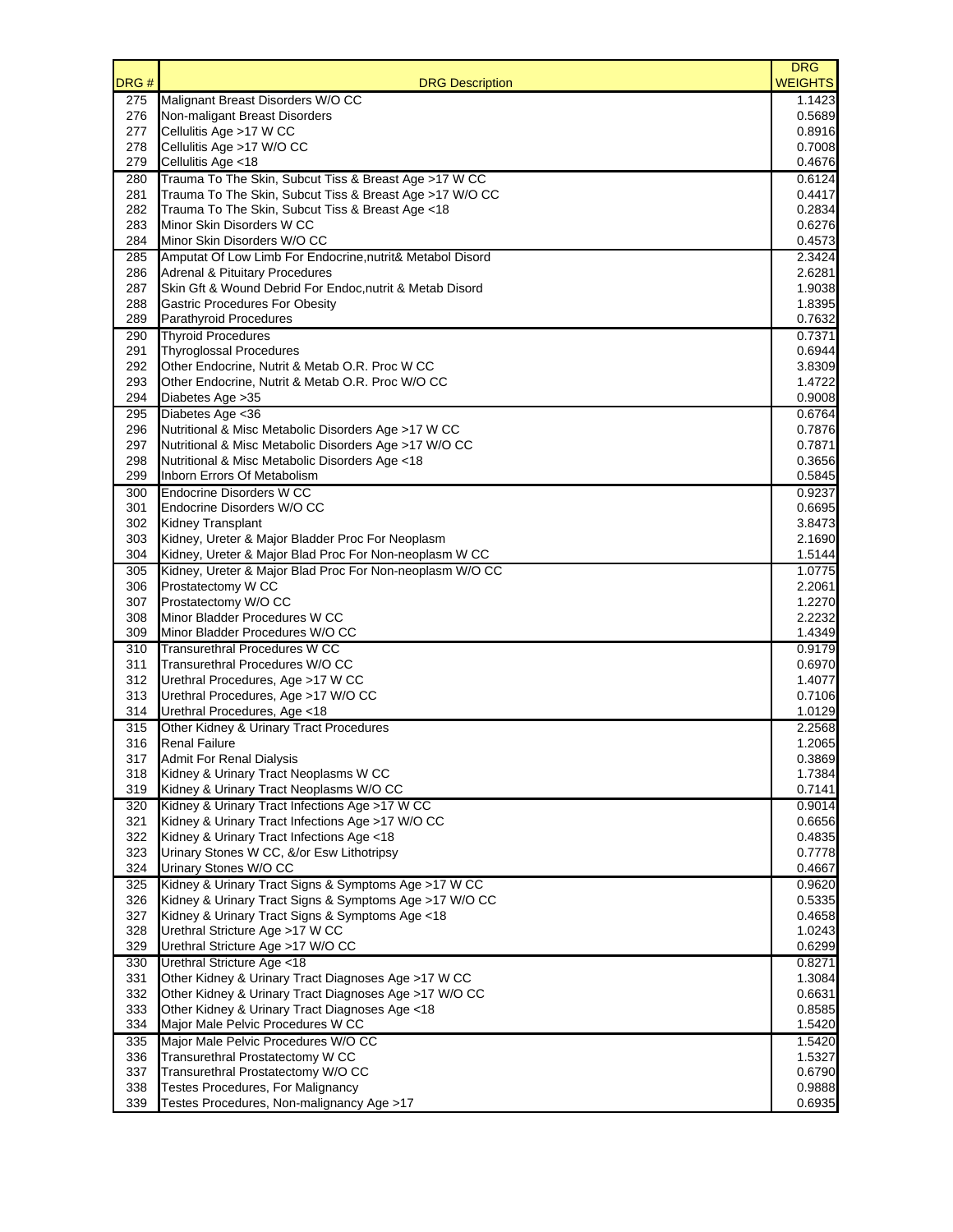| DRG#       | <b>DRG Description</b>                                                                                           | <b>DRG</b><br><b>WEIGHTS</b> |
|------------|------------------------------------------------------------------------------------------------------------------|------------------------------|
| 275        | Malignant Breast Disorders W/O CC                                                                                | 1.1423                       |
| 276        | Non-maligant Breast Disorders                                                                                    | 0.5689                       |
| 277        | Cellulitis Age >17 W CC                                                                                          | 0.8916                       |
| 278        | Cellulitis Age >17 W/O CC                                                                                        | 0.7008                       |
| 279        | Cellulitis Age <18                                                                                               | 0.4676                       |
| 280<br>281 | Trauma To The Skin, Subcut Tiss & Breast Age >17 W CC<br>Trauma To The Skin, Subcut Tiss & Breast Age >17 W/O CC | 0.6124<br>0.4417             |
| 282        | Trauma To The Skin, Subcut Tiss & Breast Age <18                                                                 | 0.2834                       |
| 283        | Minor Skin Disorders W CC                                                                                        | 0.6276                       |
| 284        | Minor Skin Disorders W/O CC                                                                                      | 0.4573                       |
| 285        | Amputat Of Low Limb For Endocrine, nutrit& Metabol Disord                                                        | 2.3424                       |
| 286        | <b>Adrenal &amp; Pituitary Procedures</b>                                                                        | 2.6281                       |
| 287        | Skin Gft & Wound Debrid For Endoc, nutrit & Metab Disord                                                         | 1.9038                       |
| 288        | <b>Gastric Procedures For Obesity</b>                                                                            | 1.8395                       |
| 289        | Parathyroid Procedures                                                                                           | 0.7632                       |
| 290        | <b>Thyroid Procedures</b>                                                                                        | 0.7371                       |
| 291        | <b>Thyroglossal Procedures</b>                                                                                   | 0.6944                       |
| 292<br>293 | Other Endocrine, Nutrit & Metab O.R. Proc W CC<br>Other Endocrine, Nutrit & Metab O.R. Proc W/O CC               | 3.8309<br>1.4722             |
| 294        | Diabetes Age > 35                                                                                                | 0.9008                       |
| 295        | Diabetes Age <36                                                                                                 | 0.6764                       |
| 296        | Nutritional & Misc Metabolic Disorders Age >17 W CC                                                              | 0.7876                       |
| 297        | Nutritional & Misc Metabolic Disorders Age >17 W/O CC                                                            | 0.7871                       |
| 298        | Nutritional & Misc Metabolic Disorders Age <18                                                                   | 0.3656                       |
| 299        | Inborn Errors Of Metabolism                                                                                      | 0.5845                       |
| 300        | <b>Endocrine Disorders W CC</b>                                                                                  | 0.9237                       |
| 301        | Endocrine Disorders W/O CC                                                                                       | 0.6695                       |
| 302        | <b>Kidney Transplant</b>                                                                                         | 3.8473                       |
| 303        | Kidney, Ureter & Major Bladder Proc For Neoplasm                                                                 | 2.1690                       |
| 304        | Kidney, Ureter & Major Blad Proc For Non-neoplasm W CC                                                           | 1.5144                       |
| 305        | Kidney, Ureter & Major Blad Proc For Non-neoplasm W/O CC                                                         | 1.0775                       |
| 306<br>307 | Prostatectomy W CC<br>Prostatectomy W/O CC                                                                       | 2.2061<br>1.2270             |
| 308        | Minor Bladder Procedures W CC                                                                                    | 2.2232                       |
| 309        | Minor Bladder Procedures W/O CC                                                                                  | 1.4349                       |
| 310        | <b>Transurethral Procedures W CC</b>                                                                             | 0.9179                       |
| 311        | Transurethral Procedures W/O CC                                                                                  | 0.6970                       |
| 312        | Urethral Procedures, Age >17 W CC                                                                                | 1.4077                       |
| 313        | Urethral Procedures, Age >17 W/O CC                                                                              | 0.7106                       |
| 314        | Urethral Procedures, Age <18                                                                                     | 1.0129                       |
| 315        | Other Kidney & Urinary Tract Procedures                                                                          | 2.2568                       |
| 316        | <b>Renal Failure</b>                                                                                             | 1.2065                       |
| 317        | <b>Admit For Renal Dialysis</b><br>Kidney & Urinary Tract Neoplasms W CC                                         | 0.3869                       |
| 318<br>319 | Kidney & Urinary Tract Neoplasms W/O CC                                                                          | 1.7384<br>0.7141             |
| 320        | Kidney & Urinary Tract Infections Age >17 W CC                                                                   | 0.9014                       |
| 321        | Kidney & Urinary Tract Infections Age >17 W/O CC                                                                 | 0.6656                       |
| 322        | Kidney & Urinary Tract Infections Age <18                                                                        | 0.4835                       |
| 323        | Urinary Stones W CC, &/or Esw Lithotripsy                                                                        | 0.7778                       |
| 324        | Urinary Stones W/O CC                                                                                            | 0.4667                       |
| 325        | Kidney & Urinary Tract Signs & Symptoms Age >17 W CC                                                             | 0.9620                       |
| 326        | Kidney & Urinary Tract Signs & Symptoms Age >17 W/O CC                                                           | 0.5335                       |
| 327        | Kidney & Urinary Tract Signs & Symptoms Age <18                                                                  | 0.4658                       |
| 328        | Urethral Stricture Age >17 W CC                                                                                  | 1.0243                       |
| 329        | Urethral Stricture Age >17 W/O CC                                                                                | 0.6299                       |
| 330<br>331 | Urethral Stricture Age <18<br>Other Kidney & Urinary Tract Diagnoses Age >17 W CC                                | 0.8271<br>1.3084             |
| 332        | Other Kidney & Urinary Tract Diagnoses Age >17 W/O CC                                                            | 0.6631                       |
| 333        | Other Kidney & Urinary Tract Diagnoses Age <18                                                                   | 0.8585                       |
| 334        | Major Male Pelvic Procedures W CC                                                                                | 1.5420                       |
| 335        | Major Male Pelvic Procedures W/O CC                                                                              | 1.5420                       |
| 336        | Transurethral Prostatectomy W CC                                                                                 | 1.5327                       |
| 337        | Transurethral Prostatectomy W/O CC                                                                               | 0.6790                       |
| 338        | Testes Procedures, For Malignancy                                                                                | 0.9888                       |
| 339        | Testes Procedures, Non-malignancy Age >17                                                                        | 0.6935                       |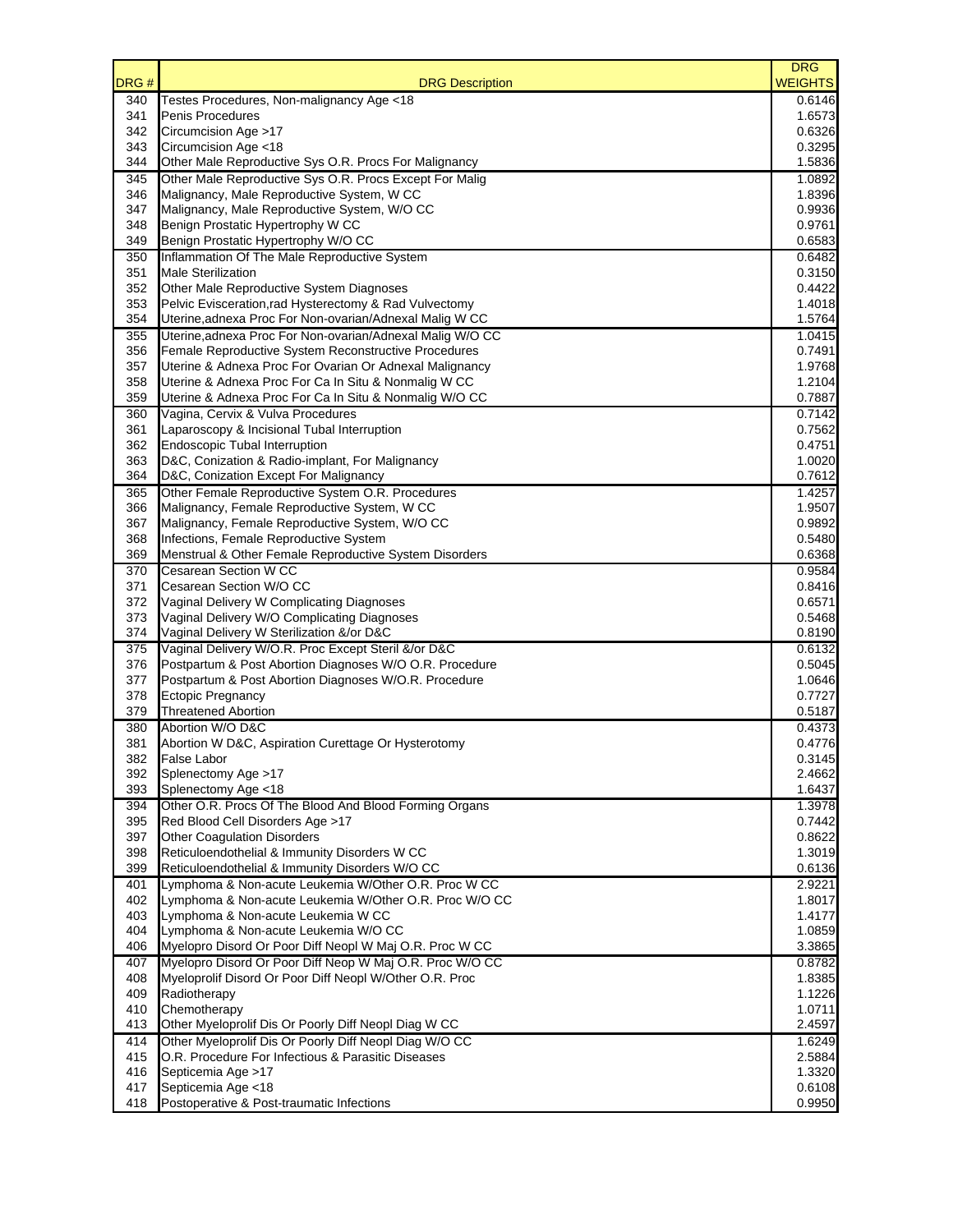| DRG#       | <b>DRG Description</b>                                                                                            | <b>DRG</b><br><b>WEIGHTS</b> |
|------------|-------------------------------------------------------------------------------------------------------------------|------------------------------|
| 340        | Testes Procedures, Non-malignancy Age <18                                                                         | 0.6146                       |
| 341        | Penis Procedures                                                                                                  | 1.6573                       |
| 342        | Circumcision Age >17                                                                                              | 0.6326                       |
| 343<br>344 | Circumcision Age <18<br>Other Male Reproductive Sys O.R. Procs For Malignancy                                     | 0.3295<br>1.5836             |
| 345        | Other Male Reproductive Sys O.R. Procs Except For Malig                                                           | 1.0892                       |
| 346        | Malignancy, Male Reproductive System, W CC                                                                        | 1.8396                       |
| 347        | Malignancy, Male Reproductive System, W/O CC                                                                      | 0.9936                       |
| 348        | Benign Prostatic Hypertrophy W CC                                                                                 | 0.9761                       |
| 349        | Benign Prostatic Hypertrophy W/O CC                                                                               | 0.6583                       |
| 350        | Inflammation Of The Male Reproductive System                                                                      | 0.6482                       |
| 351        | <b>Male Sterilization</b>                                                                                         | 0.3150                       |
| 352        | Other Male Reproductive System Diagnoses                                                                          | 0.4422                       |
| 353<br>354 | Pelvic Evisceration, rad Hysterectomy & Rad Vulvectomy<br>Uterine, adnexa Proc For Non-ovarian/Adnexal Malig W CC | 1.4018<br>1.5764             |
| 355        | Uterine, adnexa Proc For Non-ovarian/Adnexal Malig W/O CC                                                         | 1.0415                       |
| 356        | Female Reproductive System Reconstructive Procedures                                                              | 0.7491                       |
| 357        | Uterine & Adnexa Proc For Ovarian Or Adnexal Malignancy                                                           | 1.9768                       |
| 358        | Uterine & Adnexa Proc For Ca In Situ & Nonmalig W CC                                                              | 1.2104                       |
| 359        | Uterine & Adnexa Proc For Ca In Situ & Nonmalig W/O CC                                                            | 0.7887                       |
| 360        | Vagina, Cervix & Vulva Procedures                                                                                 | 0.7142                       |
| 361        | Laparoscopy & Incisional Tubal Interruption                                                                       | 0.7562                       |
| 362        | <b>Endoscopic Tubal Interruption</b>                                                                              | 0.4751                       |
| 363        | D&C, Conization & Radio-implant, For Malignancy                                                                   | 1.0020                       |
| 364        | D&C, Conization Except For Malignancy                                                                             | 0.7612                       |
| 365<br>366 | Other Female Reproductive System O.R. Procedures<br>Malignancy, Female Reproductive System, W CC                  | 1.4257<br>1.9507             |
| 367        | Malignancy, Female Reproductive System, W/O CC                                                                    | 0.9892                       |
| 368        | Infections, Female Reproductive System                                                                            | 0.5480                       |
| 369        | Menstrual & Other Female Reproductive System Disorders                                                            | 0.6368                       |
| 370        | Cesarean Section W CC                                                                                             | 0.9584                       |
| 371        | Cesarean Section W/O CC                                                                                           | 0.8416                       |
| 372        | Vaginal Delivery W Complicating Diagnoses                                                                         | 0.6571                       |
| 373        | Vaginal Delivery W/O Complicating Diagnoses                                                                       | 0.5468                       |
| 374        | Vaginal Delivery W Sterilization &/or D&C                                                                         | 0.8190                       |
| 375        | Vaginal Delivery W/O.R. Proc Except Steril &/or D&C                                                               | 0.6132<br>0.5045             |
| 376<br>377 | Postpartum & Post Abortion Diagnoses W/O O.R. Procedure<br>Postpartum & Post Abortion Diagnoses W/O.R. Procedure  | 1.0646                       |
| 378        | Ectopic Pregnancy                                                                                                 | 0.7727                       |
| 379        | <b>Threatened Abortion</b>                                                                                        | 0.5187                       |
| 380        | Abortion W/O D&C                                                                                                  | 0.4373                       |
| 381        | Abortion W D&C, Aspiration Curettage Or Hysterotomy                                                               | 0.4776                       |
| 382        | False Labor                                                                                                       | 0.3145                       |
| 392        | Splenectomy Age >17                                                                                               | 2.4662                       |
| 393        | Splenectomy Age <18                                                                                               | 1.6437                       |
| 394        | Other O.R. Procs Of The Blood And Blood Forming Organs                                                            | 1.3978                       |
| 395        | Red Blood Cell Disorders Age >17                                                                                  | 0.7442                       |
| 397<br>398 | <b>Other Coagulation Disorders</b><br>Reticuloendothelial & Immunity Disorders W CC                               | 0.8622<br>1.3019             |
| 399        | Reticuloendothelial & Immunity Disorders W/O CC                                                                   | 0.6136                       |
| 401        | Lymphoma & Non-acute Leukemia W/Other O.R. Proc W CC                                                              | 2.9221                       |
| 402        | Lymphoma & Non-acute Leukemia W/Other O.R. Proc W/O CC                                                            | 1.8017                       |
| 403        | Lymphoma & Non-acute Leukemia W CC                                                                                | 1.4177                       |
| 404        | Lymphoma & Non-acute Leukemia W/O CC                                                                              | 1.0859                       |
| 406        | Myelopro Disord Or Poor Diff Neopl W Maj O.R. Proc W CC                                                           | 3.3865                       |
| 407        | Myelopro Disord Or Poor Diff Neop W Maj O.R. Proc W/O CC                                                          | 0.8782                       |
| 408        | Myeloprolif Disord Or Poor Diff Neopl W/Other O.R. Proc                                                           | 1.8385                       |
| 409<br>410 | Radiotherapy<br>Chemotherapy                                                                                      | 1.1226<br>1.0711             |
| 413        | Other Myeloprolif Dis Or Poorly Diff Neopl Diag W CC                                                              | 2.4597                       |
| 414        | Other Myeloprolif Dis Or Poorly Diff Neopl Diag W/O CC                                                            | 1.6249                       |
| 415        | O.R. Procedure For Infectious & Parasitic Diseases                                                                | 2.5884                       |
| 416        | Septicemia Age >17                                                                                                | 1.3320                       |
| 417        | Septicemia Age <18                                                                                                | 0.6108                       |
| 418        | Postoperative & Post-traumatic Infections                                                                         | 0.9950                       |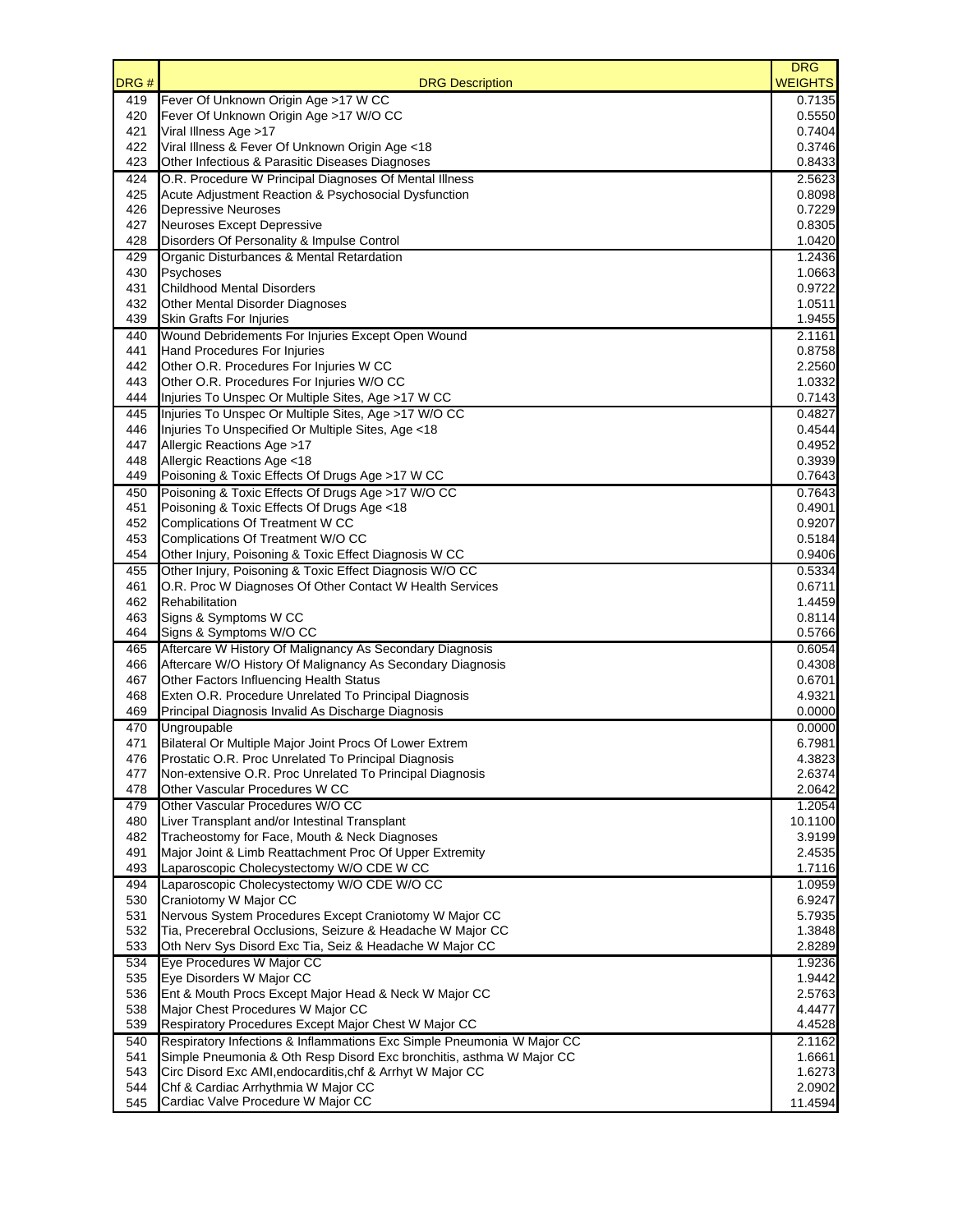| DRG#       | <b>DRG Description</b>                                                                                         | <b>DRG</b><br><b>WEIGHTS</b> |
|------------|----------------------------------------------------------------------------------------------------------------|------------------------------|
| 419        | Fever Of Unknown Origin Age >17 W CC                                                                           | 0.7135                       |
| 420        | Fever Of Unknown Origin Age >17 W/O CC                                                                         | 0.5550                       |
| 421        | Viral Illness Age >17                                                                                          | 0.7404                       |
| 422        | Viral Illness & Fever Of Unknown Origin Age <18                                                                | 0.3746                       |
| 423        | Other Infectious & Parasitic Diseases Diagnoses                                                                | 0.8433<br>2.5623             |
| 424<br>425 | O.R. Procedure W Principal Diagnoses Of Mental Illness<br>Acute Adjustment Reaction & Psychosocial Dysfunction | 0.8098                       |
| 426        | <b>Depressive Neuroses</b>                                                                                     | 0.7229                       |
| 427        | <b>Neuroses Except Depressive</b>                                                                              | 0.8305                       |
| 428        | Disorders Of Personality & Impulse Control                                                                     | 1.0420                       |
| 429        | Organic Disturbances & Mental Retardation                                                                      | 1.2436                       |
| 430        | Psychoses                                                                                                      | 1.0663                       |
| 431        | <b>Childhood Mental Disorders</b>                                                                              | 0.9722                       |
| 432        | Other Mental Disorder Diagnoses                                                                                | 1.0511                       |
| 439        | Skin Grafts For Injuries                                                                                       | 1.9455                       |
| 440        | Wound Debridements For Injuries Except Open Wound                                                              | 2.1161                       |
| 441        | Hand Procedures For Injuries                                                                                   | 0.8758                       |
| 442        | Other O.R. Procedures For Injuries W CC                                                                        | 2.2560                       |
| 443<br>444 | Other O.R. Procedures For Injuries W/O CC<br>Injuries To Unspec Or Multiple Sites, Age >17 W CC                | 1.0332<br>0.7143             |
| 445        | Injuries To Unspec Or Multiple Sites, Age >17 W/O CC                                                           | 0.4827                       |
| 446        | Injuries To Unspecified Or Multiple Sites, Age <18                                                             | 0.4544                       |
| 447        | Allergic Reactions Age >17                                                                                     | 0.4952                       |
| 448        | Allergic Reactions Age <18                                                                                     | 0.3939                       |
| 449        | Poisoning & Toxic Effects Of Drugs Age >17 W CC                                                                | 0.7643                       |
| 450        | Poisoning & Toxic Effects Of Drugs Age >17 W/O CC                                                              | 0.7643                       |
| 451        | Poisoning & Toxic Effects Of Drugs Age <18                                                                     | 0.4901                       |
| 452        | Complications Of Treatment W CC                                                                                | 0.9207                       |
| 453        | Complications Of Treatment W/O CC                                                                              | 0.5184                       |
| 454        | Other Injury, Poisoning & Toxic Effect Diagnosis W CC                                                          | 0.9406                       |
| 455        | Other Injury, Poisoning & Toxic Effect Diagnosis W/O CC                                                        | 0.5334                       |
| 461        | O.R. Proc W Diagnoses Of Other Contact W Health Services                                                       | 0.6711                       |
| 462<br>463 | Rehabilitation<br>Signs & Symptoms W CC                                                                        | 1.4459<br>0.8114             |
| 464        | Signs & Symptoms W/O CC                                                                                        | 0.5766                       |
| 465        | Aftercare W History Of Malignancy As Secondary Diagnosis                                                       | 0.6054                       |
| 466        | Aftercare W/O History Of Malignancy As Secondary Diagnosis                                                     | 0.4308                       |
| 467        | Other Factors Influencing Health Status                                                                        | 0.6701                       |
| 468        | Exten O.R. Procedure Unrelated To Principal Diagnosis                                                          | 4.9321                       |
| 469        | Principal Diagnosis Invalid As Discharge Diagnosis                                                             | 0.0000                       |
| 470        | Ungroupable                                                                                                    | 0.0000                       |
| 471        | Bilateral Or Multiple Major Joint Procs Of Lower Extrem                                                        | 6.7981                       |
| 476        | Prostatic O.R. Proc Unrelated To Principal Diagnosis                                                           | 4.3823                       |
| 477        | Non-extensive O.R. Proc Unrelated To Principal Diagnosis                                                       | 2.6374                       |
| 478        | Other Vascular Procedures W CC<br>Other Vascular Procedures W/O CC                                             | 2.0642<br>1.2054             |
| 479<br>480 | Liver Transplant and/or Intestinal Transplant                                                                  | 10.1100                      |
| 482        | Tracheostomy for Face, Mouth & Neck Diagnoses                                                                  | 3.9199                       |
| 491        | Major Joint & Limb Reattachment Proc Of Upper Extremity                                                        | 2.4535                       |
| 493        | Laparoscopic Cholecystectomy W/O CDE W CC                                                                      | 1.7116                       |
| 494        | Laparoscopic Cholecystectomy W/O CDE W/O CC                                                                    | 1.0959                       |
| 530        | Craniotomy W Major CC                                                                                          | 6.9247                       |
| 531        | Nervous System Procedures Except Craniotomy W Major CC                                                         | 5.7935                       |
| 532        | Tia, Precerebral Occlusions, Seizure & Headache W Major CC                                                     | 1.3848                       |
| 533        | Oth Nerv Sys Disord Exc Tia, Seiz & Headache W Major CC                                                        | 2.8289                       |
| 534        | Eye Procedures W Major CC                                                                                      | 1.9236                       |
| 535        | Eye Disorders W Major CC                                                                                       | 1.9442                       |
| 536        | Ent & Mouth Procs Except Major Head & Neck W Major CC<br>Major Chest Procedures W Major CC                     | 2.5763<br>4.4477             |
| 538<br>539 | Respiratory Procedures Except Major Chest W Major CC                                                           | 4.4528                       |
| 540        | Respiratory Infections & Inflammations Exc Simple Pneumonia W Major CC                                         | 2.1162                       |
| 541        | Simple Pneumonia & Oth Resp Disord Exc bronchitis, asthma W Major CC                                           | 1.6661                       |
| 543        | Circ Disord Exc AMI, endocarditis, chf & Arrhyt W Major CC                                                     | 1.6273                       |
| 544        | Chf & Cardiac Arrhythmia W Major CC                                                                            | 2.0902                       |
| 545        | Cardiac Valve Procedure W Major CC                                                                             | 11.4594                      |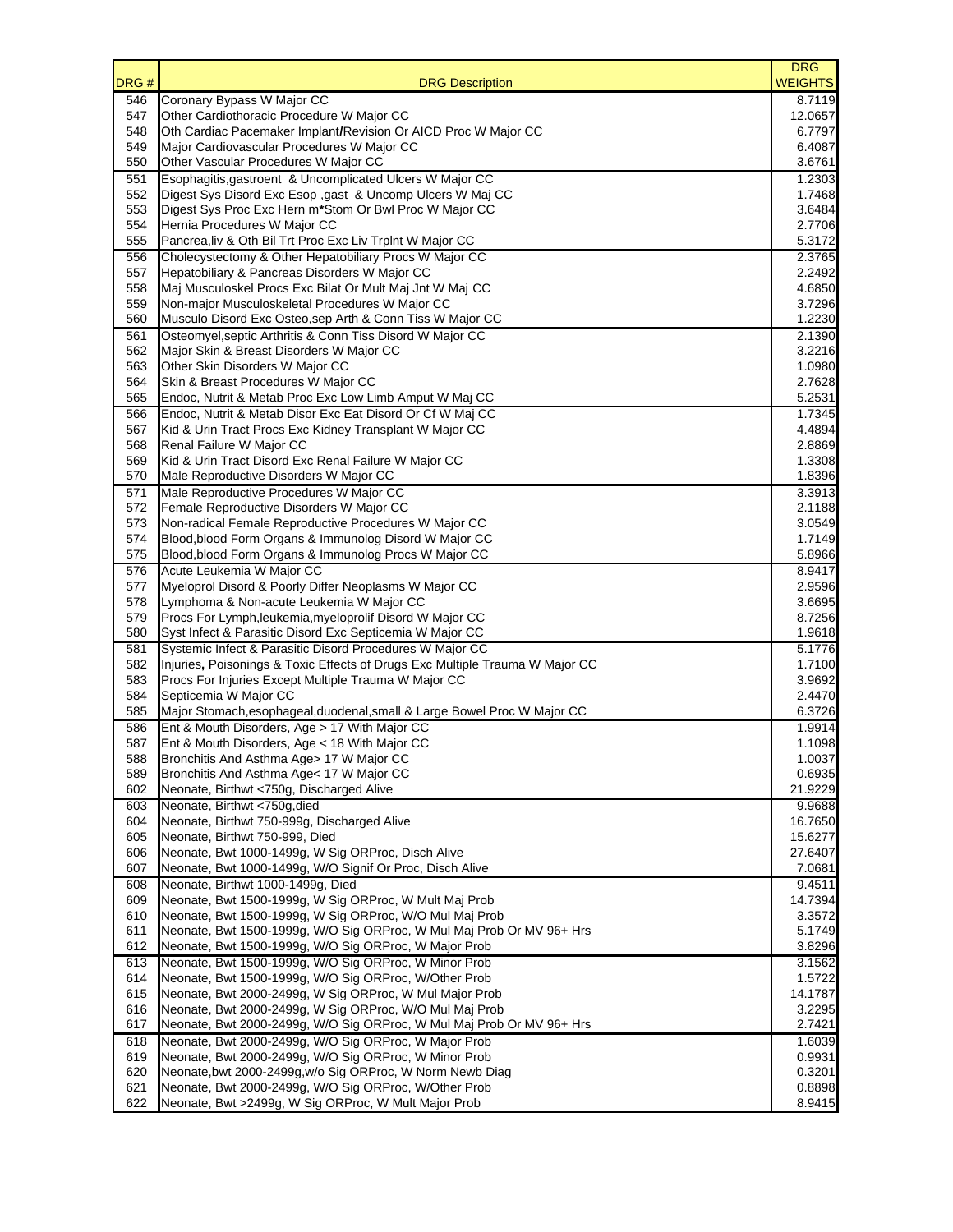| DRG#       | <b>DRG Description</b>                                                                                        | <b>DRG</b><br><b>WEIGHTS</b> |
|------------|---------------------------------------------------------------------------------------------------------------|------------------------------|
| 546        | Coronary Bypass W Major CC                                                                                    | 8.7119                       |
| 547        | Other Cardiothoracic Procedure W Major CC                                                                     | 12.0657                      |
| 548        | Oth Cardiac Pacemaker Implant/Revision Or AICD Proc W Major CC                                                | 6.7797                       |
| 549        | Major Cardiovascular Procedures W Major CC                                                                    | 6.4087                       |
| 550        | Other Vascular Procedures W Major CC                                                                          | 3.6761                       |
| 551        | Esophagitis, gastroent & Uncomplicated Ulcers W Major CC                                                      | 1.2303                       |
| 552<br>553 | Digest Sys Disord Exc Esop , gast & Uncomp Ulcers W Maj CC                                                    | 1.7468<br>3.6484             |
| 554        | Digest Sys Proc Exc Hern m*Stom Or Bwl Proc W Major CC<br>Hernia Procedures W Major CC                        | 2.7706                       |
| 555        | Pancrea, liv & Oth Bil Trt Proc Exc Liv TrpInt W Major CC                                                     | 5.3172                       |
| 556        | Cholecystectomy & Other Hepatobiliary Procs W Major CC                                                        | 2.3765                       |
| 557        | Hepatobiliary & Pancreas Disorders W Major CC                                                                 | 2.2492                       |
| 558        | Maj Musculoskel Procs Exc Bilat Or Mult Maj Jnt W Maj CC                                                      | 4.6850                       |
| 559        | Non-major Musculoskeletal Procedures W Major CC                                                               | 3.7296                       |
| 560        | Musculo Disord Exc Osteo, sep Arth & Conn Tiss W Major CC                                                     | 1.2230                       |
| 561        | Osteomyel, septic Arthritis & Conn Tiss Disord W Major CC                                                     | 2.1390                       |
| 562        | Major Skin & Breast Disorders W Major CC                                                                      | 3.2216                       |
| 563        | Other Skin Disorders W Major CC                                                                               | 1.0980                       |
| 564        | Skin & Breast Procedures W Major CC                                                                           | 2.7628                       |
| 565        | Endoc, Nutrit & Metab Proc Exc Low Limb Amput W Maj CC                                                        | 5.2531                       |
| 566        | Endoc, Nutrit & Metab Disor Exc Eat Disord Or Cf W Maj CC                                                     | 1.7345                       |
| 567        | Kid & Urin Tract Procs Exc Kidney Transplant W Major CC                                                       | 4.4894                       |
| 568        | Renal Failure W Major CC                                                                                      | 2.8869                       |
| 569        | Kid & Urin Tract Disord Exc Renal Failure W Major CC                                                          | 1.3308                       |
| 570        | Male Reproductive Disorders W Major CC                                                                        | 1.8396                       |
| 571        | Male Reproductive Procedures W Major CC                                                                       | 3.3913<br>2.1188             |
| 572<br>573 | Female Reproductive Disorders W Major CC<br>Non-radical Female Reproductive Procedures W Major CC             | 3.0549                       |
| 574        | Blood, blood Form Organs & Immunolog Disord W Major CC                                                        | 1.7149                       |
| 575        | Blood, blood Form Organs & Immunolog Procs W Major CC                                                         | 5.8966                       |
| 576        | Acute Leukemia W Major CC                                                                                     | 8.9417                       |
| 577        | Myeloprol Disord & Poorly Differ Neoplasms W Major CC                                                         | 2.9596                       |
| 578        | Lymphoma & Non-acute Leukemia W Major CC                                                                      | 3.6695                       |
| 579        | Procs For Lymph, leukemia, myeloprolif Disord W Major CC                                                      | 8.7256                       |
| 580        | Syst Infect & Parasitic Disord Exc Septicemia W Major CC                                                      | 1.9618                       |
| 581        | Systemic Infect & Parasitic Disord Procedures W Major CC                                                      | 5.1776                       |
| 582        | Injuries, Poisonings & Toxic Effects of Drugs Exc Multiple Trauma W Major CC                                  | 1.7100                       |
| 583        | Procs For Injuries Except Multiple Trauma W Major CC                                                          | 3.9692                       |
| 584        | Septicemia W Major CC                                                                                         | 2.4470                       |
| 585        | Major Stomach, esophageal, duodenal, small & Large Bowel Proc W Major CC                                      | 6.3726                       |
| 586        | Ent & Mouth Disorders, Age > 17 With Major CC                                                                 | 1.9914                       |
| 587        | Ent & Mouth Disorders, Age < 18 With Major CC                                                                 | 1.1098                       |
| 588        | Bronchitis And Asthma Age> 17 W Major CC                                                                      | 1.0037                       |
| 589        | Bronchitis And Asthma Age< 17 W Major CC<br>Neonate, Birthwt <750g, Discharged Alive                          | 0.6935                       |
| 602<br>603 | Neonate, Birthwt <750g, died                                                                                  | 21.9229<br>9.9688            |
| 604        | Neonate, Birthwt 750-999g, Discharged Alive                                                                   | 16.7650                      |
| 605        | Neonate, Birthwt 750-999, Died                                                                                | 15.6277                      |
| 606        | Neonate, Bwt 1000-1499g, W Sig ORProc, Disch Alive                                                            | 27.6407                      |
| 607        | Neonate, Bwt 1000-1499g, W/O Signif Or Proc, Disch Alive                                                      | 7.0681                       |
| 608        | Neonate, Birthwt 1000-1499g, Died                                                                             | 9.4511                       |
| 609        | Neonate, Bwt 1500-1999g, W Sig ORProc, W Mult Maj Prob                                                        | 14.7394                      |
| 610        | Neonate, Bwt 1500-1999g, W Sig ORProc, W/O Mul Maj Prob                                                       | 3.3572                       |
| 611        | Neonate, Bwt 1500-1999g, W/O Sig ORProc, W Mul Maj Prob Or MV 96+ Hrs                                         | 5.1749                       |
| 612        | Neonate, Bwt 1500-1999g, W/O Sig ORProc, W Major Prob                                                         | 3.8296                       |
| 613        | Neonate, Bwt 1500-1999g, W/O Sig ORProc, W Minor Prob                                                         | 3.1562                       |
| 614        | Neonate, Bwt 1500-1999g, W/O Sig ORProc, W/Other Prob                                                         | 1.5722                       |
| 615        | Neonate, Bwt 2000-2499g, W Sig ORProc, W Mul Major Prob                                                       | 14.1787                      |
| 616        | Neonate, Bwt 2000-2499g, W Sig ORProc, W/O Mul Maj Prob                                                       | 3.2295                       |
| 617        | Neonate, Bwt 2000-2499g, W/O Sig ORProc, W Mul Maj Prob Or MV 96+ Hrs                                         | 2.7421                       |
| 618        | Neonate, Bwt 2000-2499g, W/O Sig ORProc, W Major Prob                                                         | 1.6039                       |
| 619        | Neonate, Bwt 2000-2499g, W/O Sig ORProc, W Minor Prob                                                         | 0.9931                       |
| 620        | Neonate, bwt 2000-2499g, w/o Sig ORProc, W Norm Newb Diag                                                     | 0.3201                       |
| 621<br>622 | Neonate, Bwt 2000-2499g, W/O Sig ORProc, W/Other Prob<br>Neonate, Bwt >2499g, W Sig ORProc, W Mult Major Prob | 0.8898<br>8.9415             |
|            |                                                                                                               |                              |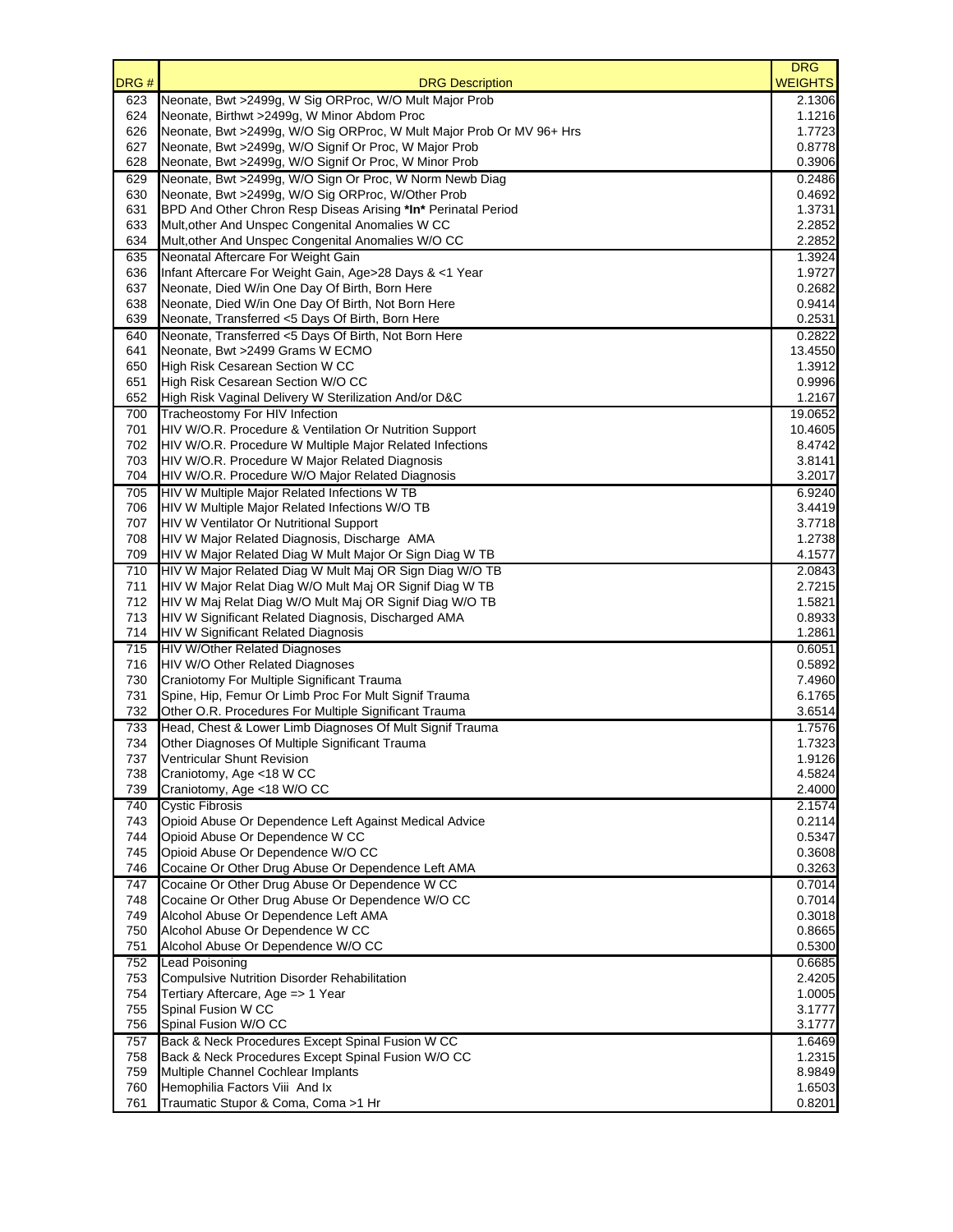|            |                                                                                                       | <b>DRG</b>        |
|------------|-------------------------------------------------------------------------------------------------------|-------------------|
| DRG#       | <b>DRG Description</b>                                                                                | <b>WEIGHTS</b>    |
| 623<br>624 | Neonate, Bwt >2499g, W Sig ORProc, W/O Mult Major Prob<br>Neonate, Birthwt >2499g, W Minor Abdom Proc | 2.1306<br>1.1216  |
| 626        | Neonate, Bwt >2499g, W/O Sig ORProc, W Mult Major Prob Or MV 96+ Hrs                                  | 1.7723            |
| 627        | Neonate, Bwt >2499g, W/O Signif Or Proc, W Major Prob                                                 | 0.8778            |
| 628        | Neonate, Bwt >2499g, W/O Signif Or Proc, W Minor Prob                                                 | 0.3906            |
| 629        | Neonate, Bwt >2499g, W/O Sign Or Proc, W Norm Newb Diag                                               | 0.2486            |
| 630        | Neonate, Bwt >2499g, W/O Sig ORProc, W/Other Prob                                                     | 0.4692            |
| 631        | BPD And Other Chron Resp Diseas Arising *In* Perinatal Period                                         | 1.3731            |
| 633        | Mult, other And Unspec Congenital Anomalies W CC                                                      | 2.2852            |
| 634        | Mult, other And Unspec Congenital Anomalies W/O CC                                                    | 2.2852            |
| 635        | Neonatal Aftercare For Weight Gain                                                                    | 1.3924            |
| 636        | Infant Aftercare For Weight Gain, Age>28 Days & <1 Year                                               | 1.9727            |
| 637        | Neonate, Died W/in One Day Of Birth, Born Here                                                        | 0.2682            |
| 638        | Neonate, Died W/in One Day Of Birth, Not Born Here                                                    | 0.9414            |
| 639        | Neonate, Transferred <5 Days Of Birth, Born Here                                                      | 0.2531            |
| 640        | Neonate, Transferred <5 Days Of Birth, Not Born Here                                                  | 0.2822            |
| 641<br>650 | Neonate, Bwt >2499 Grams W ECMO<br><b>High Risk Cesarean Section W CC</b>                             | 13.4550<br>1.3912 |
| 651        | High Risk Cesarean Section W/O CC                                                                     | 0.9996            |
| 652        | High Risk Vaginal Delivery W Sterilization And/or D&C                                                 | 1.2167            |
| 700        | Tracheostomy For HIV Infection                                                                        | 19.0652           |
| 701        | HIV W/O.R. Procedure & Ventilation Or Nutrition Support                                               | 10.4605           |
| 702        | HIV W/O.R. Procedure W Multiple Major Related Infections                                              | 8.4742            |
| 703        | HIV W/O.R. Procedure W Major Related Diagnosis                                                        | 3.8141            |
| 704        | HIV W/O.R. Procedure W/O Major Related Diagnosis                                                      | 3.2017            |
| 705        | HIV W Multiple Major Related Infections W TB                                                          | 6.9240            |
| 706        | HIV W Multiple Major Related Infections W/O TB                                                        | 3.4419            |
| 707        | <b>HIV W Ventilator Or Nutritional Support</b>                                                        | 3.7718            |
| 708        | HIV W Major Related Diagnosis, Discharge AMA                                                          | 1.2738            |
| 709        | HIV W Major Related Diag W Mult Major Or Sign Diag W TB                                               | 4.1577            |
| 710        | HIV W Major Related Diag W Mult Maj OR Sign Diag W/O TB                                               | 2.0843            |
| 711        | HIV W Major Relat Diag W/O Mult Maj OR Signif Diag W TB                                               | 2.7215            |
| 712        | HIV W Maj Relat Diag W/O Mult Maj OR Signif Diag W/O TB                                               | 1.5821            |
| 713<br>714 | HIV W Significant Related Diagnosis, Discharged AMA                                                   | 0.8933<br>1.2861  |
|            | <b>HIV W Significant Related Diagnosis</b><br><b>HIV W/Other Related Diagnoses</b>                    | 0.6051            |
| 715<br>716 | HIV W/O Other Related Diagnoses                                                                       | 0.5892            |
| 730        | Craniotomy For Multiple Significant Trauma                                                            | 7.4960            |
| 731        | Spine, Hip, Femur Or Limb Proc For Mult Signif Trauma                                                 | 6.1765            |
| 732        | Other O.R. Procedures For Multiple Significant Trauma                                                 | 3.6514            |
| 733        | Head, Chest & Lower Limb Diagnoses Of Mult Signif Trauma                                              | 1.7576            |
| 734        | Other Diagnoses Of Multiple Significant Trauma                                                        | 1.7323            |
| 737        | Ventricular Shunt Revision                                                                            | 1.9126            |
| 738        | Craniotomy, Age <18 W CC                                                                              | 4.5824            |
| 739        | Craniotomy, Age <18 W/O CC                                                                            | 2.4000            |
| 740        | <b>Cystic Fibrosis</b>                                                                                | 2.1574            |
| 743        | Opioid Abuse Or Dependence Left Against Medical Advice                                                | 0.2114            |
| 744        | Opioid Abuse Or Dependence W CC                                                                       | 0.5347            |
| 745        | Opioid Abuse Or Dependence W/O CC                                                                     | 0.3608            |
| 746        | Cocaine Or Other Drug Abuse Or Dependence Left AMA                                                    | 0.3263            |
| 747        | Cocaine Or Other Drug Abuse Or Dependence W CC                                                        | 0.7014<br>0.7014  |
| 748<br>749 | Cocaine Or Other Drug Abuse Or Dependence W/O CC<br>Alcohol Abuse Or Dependence Left AMA              | 0.3018            |
| 750        | Alcohol Abuse Or Dependence W CC                                                                      | 0.8665            |
| 751        | Alcohol Abuse Or Dependence W/O CC                                                                    | 0.5300            |
| 752        | Lead Poisoning                                                                                        | 0.6685            |
| 753        | <b>Compulsive Nutrition Disorder Rehabilitation</b>                                                   | 2.4205            |
| 754        | Tertiary Aftercare, Age => 1 Year                                                                     | 1.0005            |
| 755        | Spinal Fusion W CC                                                                                    | 3.1777            |
| 756        | Spinal Fusion W/O CC                                                                                  | 3.1777            |
| 757        | Back & Neck Procedures Except Spinal Fusion W CC                                                      | 1.6469            |
| 758        | Back & Neck Procedures Except Spinal Fusion W/O CC                                                    | 1.2315            |
| 759        | Multiple Channel Cochlear Implants                                                                    | 8.9849            |
| 760        | Hemophilia Factors Viii And Ix                                                                        | 1.6503            |
| 761        | Traumatic Stupor & Coma, Coma >1 Hr                                                                   | 0.8201            |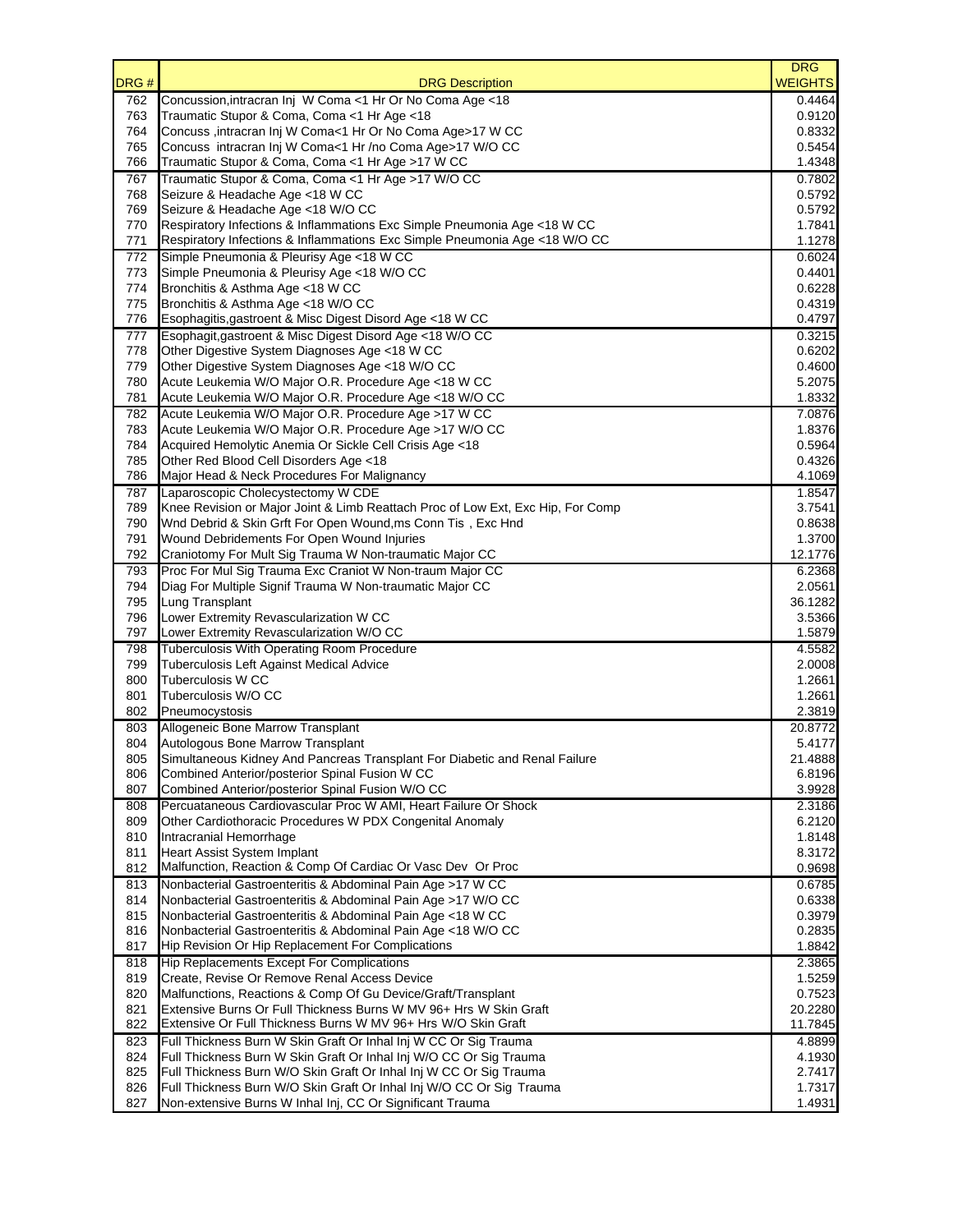|            |                                                                                            | <b>DRG</b>       |
|------------|--------------------------------------------------------------------------------------------|------------------|
| DRG#       | <b>DRG Description</b>                                                                     | <b>WEIGHTS</b>   |
| 762        | Concussion, intracran Inj W Coma <1 Hr Or No Coma Age <18                                  | 0.4464           |
| 763        | Traumatic Stupor & Coma, Coma <1 Hr Age <18                                                | 0.9120           |
| 764        | Concuss, intracran Inj W Coma<1 Hr Or No Coma Age>17 W CC                                  | 0.8332           |
| 765        | Concuss intracran Inj W Coma<1 Hr /no Coma Age>17 W/O CC                                   | 0.5454           |
| 766        | Traumatic Stupor & Coma, Coma <1 Hr Age >17 W CC                                           | 1.4348           |
| 767        | Traumatic Stupor & Coma, Coma <1 Hr Age >17 W/O CC                                         | 0.7802           |
| 768        | Seizure & Headache Age <18 W CC                                                            | 0.5792           |
| 769        | Seizure & Headache Age <18 W/O CC                                                          | 0.5792           |
| 770        | Respiratory Infections & Inflammations Exc Simple Pneumonia Age <18 W CC                   | 1.7841           |
| 771        | Respiratory Infections & Inflammations Exc Simple Pneumonia Age <18 W/O CC                 | 1.1278           |
| 772        | Simple Pneumonia & Pleurisy Age <18 W CC                                                   | 0.6024           |
| 773        | Simple Pneumonia & Pleurisy Age <18 W/O CC                                                 | 0.4401           |
| 774        | Bronchitis & Asthma Age <18 W CC                                                           | 0.6228           |
| 775        | Bronchitis & Asthma Age <18 W/O CC                                                         | 0.4319           |
| 776        | Esophagitis, gastroent & Misc Digest Disord Age <18 W CC                                   | 0.4797           |
| 777        | Esophagit, gastroent & Misc Digest Disord Age <18 W/O CC                                   | 0.3215           |
| 778        | Other Digestive System Diagnoses Age <18 W CC                                              | 0.6202           |
| 779        | Other Digestive System Diagnoses Age <18 W/O CC                                            | 0.4600           |
| 780        | Acute Leukemia W/O Major O.R. Procedure Age <18 W CC                                       | 5.2075           |
| 781        | Acute Leukemia W/O Major O.R. Procedure Age <18 W/O CC                                     | 1.8332           |
| 782        | Acute Leukemia W/O Major O.R. Procedure Age >17 W CC                                       | 7.0876           |
| 783        | Acute Leukemia W/O Major O.R. Procedure Age >17 W/O CC                                     | 1.8376           |
| 784        | Acquired Hemolytic Anemia Or Sickle Cell Crisis Age <18                                    | 0.5964           |
| 785        | Other Red Blood Cell Disorders Age <18                                                     | 0.4326           |
| 786        | Major Head & Neck Procedures For Malignancy                                                | 4.1069           |
| 787        | Laparoscopic Cholecystectomy W CDE                                                         | 1.8547           |
| 789        | Knee Revision or Major Joint & Limb Reattach Proc of Low Ext, Exc Hip, For Comp            | 3.7541           |
| 790        | Wnd Debrid & Skin Grft For Open Wound, ms Conn Tis, Exc Hnd                                | 0.8638           |
| 791        | Wound Debridements For Open Wound Injuries                                                 | 1.3700           |
| 792        | Craniotomy For Mult Sig Trauma W Non-traumatic Major CC                                    | 12.1776          |
| 793        | Proc For Mul Sig Trauma Exc Craniot W Non-traum Major CC                                   | 6.2368           |
| 794        | Diag For Multiple Signif Trauma W Non-traumatic Major CC                                   | 2.0561           |
| 795        | Lung Transplant                                                                            | 36.1282          |
| 796        | Lower Extremity Revascularization W CC                                                     | 3.5366           |
| 797        | Lower Extremity Revascularization W/O CC                                                   | 1.5879           |
| 798        | Tuberculosis With Operating Room Procedure                                                 | 4.5582           |
| 799        | Tuberculosis Left Against Medical Advice                                                   | 2.0008           |
| 800        | <b>Tuberculosis W CC</b>                                                                   | 1.2661           |
| 801        | Tuberculosis W/O CC                                                                        | 1.2661           |
| 802        | Pneumocystosis                                                                             | 2.3819           |
| 803        | Allogeneic Bone Marrow Transplant                                                          | 20.8772          |
| 804        | Autologous Bone Marrow Transplant                                                          | 5.4177           |
| 805        | Simultaneous Kidney And Pancreas Transplant For Diabetic and Renal Failure                 | 21.4888          |
|            | Combined Anterior/posterior Spinal Fusion W CC                                             |                  |
| 806<br>807 | Combined Anterior/posterior Spinal Fusion W/O CC                                           | 6.8196<br>3.9928 |
| 808        | Percuataneous Cardiovascular Proc W AMI. Heart Failure Or Shock                            | 2.3186           |
|            | Other Cardiothoracic Procedures W PDX Congenital Anomaly                                   | 6.2120           |
| 809        |                                                                                            |                  |
| 810        | Intracranial Hemorrhage                                                                    | 1.8148           |
| 811        | Heart Assist System Implant<br>Malfunction, Reaction & Comp Of Cardiac Or Vasc Dev Or Proc | 8.3172           |
| 812        |                                                                                            | 0.9698           |
| 813        | Nonbacterial Gastroenteritis & Abdominal Pain Age >17 W CC                                 | 0.6785           |
| 814        | Nonbacterial Gastroenteritis & Abdominal Pain Age >17 W/O CC                               | 0.6338           |
| 815        | Nonbacterial Gastroenteritis & Abdominal Pain Age <18 W CC                                 | 0.3979           |
| 816        | Nonbacterial Gastroenteritis & Abdominal Pain Age <18 W/O CC                               | 0.2835           |
| 817        | Hip Revision Or Hip Replacement For Complications                                          | 1.8842           |
| 818        | Hip Replacements Except For Complications                                                  | 2.3865           |
| 819        | Create, Revise Or Remove Renal Access Device                                               | 1.5259           |
| 820        | Malfunctions, Reactions & Comp Of Gu Device/Graft/Transplant                               | 0.7523           |
| 821        | Extensive Burns Or Full Thickness Burns W MV 96+ Hrs W Skin Graft                          | 20.2280          |
| 822        | Extensive Or Full Thickness Burns W MV 96+ Hrs W/O Skin Graft                              | 11.7845          |
| 823        | Full Thickness Burn W Skin Graft Or Inhal Inj W CC Or Sig Trauma                           | 4.8899           |
| 824        | Full Thickness Burn W Skin Graft Or Inhal Inj W/O CC Or Sig Trauma                         | 4.1930           |
| 825        | Full Thickness Burn W/O Skin Graft Or Inhal Inj W CC Or Sig Trauma                         | 2.7417           |
| 826        | Full Thickness Burn W/O Skin Graft Or Inhal Inj W/O CC Or Sig Trauma                       | 1.7317           |
| 827        | Non-extensive Burns W Inhal Inj, CC Or Significant Trauma                                  | 1.4931           |